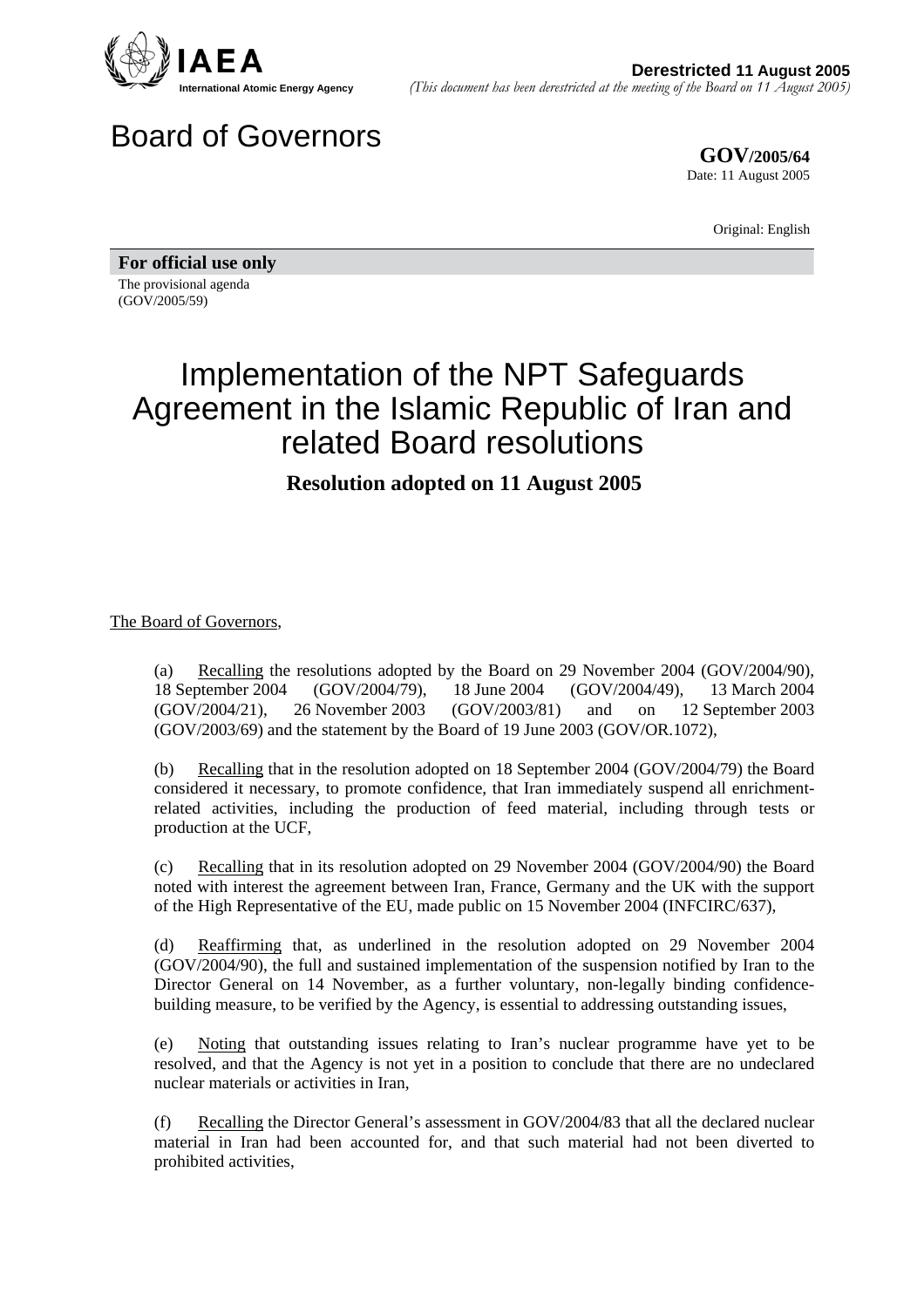

## Board of Governors

**GOV/2005/64** Date: 11 August 2005

Original: English

**For official use only**  The provisional agenda

(GOV/2005/59)

## Implementation of the NPT Safeguards Agreement in the Islamic Republic of Iran and related Board resolutions

## **Resolution adopted on 11 August 2005**

## The Board of Governors,

(a) Recalling the resolutions adopted by the Board on 29 November 2004 (GOV/2004/90), 18 September 2004 (GOV/2004/79), 18 June 2004 (GOV/2004/49), 13 March 2004<br>(GOV/2004/21), 26 November 2003 (GOV/2003/81) and on 12 September 2003 (GOV/2004/21), 26 November 2003 (GOV/2003/81) and on 12 September 2003 (GOV/2003/69) and the statement by the Board of 19 June 2003 (GOV/OR.1072),

(b) Recalling that in the resolution adopted on 18 September 2004 (GOV/2004/79) the Board considered it necessary, to promote confidence, that Iran immediately suspend all enrichmentrelated activities, including the production of feed material, including through tests or production at the UCF,

(c) Recalling that in its resolution adopted on 29 November 2004 (GOV/2004/90) the Board noted with interest the agreement between Iran, France, Germany and the UK with the support of the High Representative of the EU, made public on 15 November 2004 (INFCIRC/637),

(d) Reaffirming that, as underlined in the resolution adopted on 29 November 2004 (GOV/2004/90), the full and sustained implementation of the suspension notified by Iran to the Director General on 14 November, as a further voluntary, non-legally binding confidencebuilding measure, to be verified by the Agency, is essential to addressing outstanding issues,

(e) Noting that outstanding issues relating to Iran's nuclear programme have yet to be resolved, and that the Agency is not yet in a position to conclude that there are no undeclared nuclear materials or activities in Iran,

(f) Recalling the Director General's assessment in GOV/2004/83 that all the declared nuclear material in Iran had been accounted for, and that such material had not been diverted to prohibited activities,